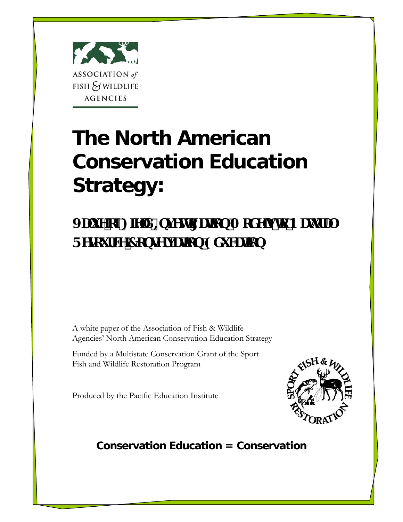

# **The North American Conservation Education Strategy:**

JUi YcZ: YX=bjYgH Ucb'A cXYghc B Ui fU FYgci fW7cbgMjUlcb9Xi Wlcb

A white paper of the Association of Fish & Wildlife Agencies' North American Conservation Education Strategy

Funded by a Multistate Conservation Grant of the Sport Fish and Wildlife Restoration Program

Produced by the Pacific Education Institute



## **Conservation Education = Conservation**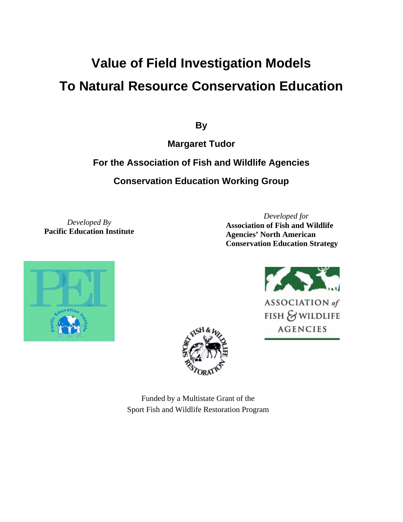## **Value of Field Investigation Models To Natural Resource Conservation Education**

**By** 

**Margaret Tudor** 

### **For the Association of Fish and Wildlife Agencies**

**Conservation Education Working Group** 

*Developed By*  **Pacific Education Institute**

*Developed for*  **Association of Fish and Wildlife Agencies' North American Conservation Education Strategy** 





**AGENCIES** 



Funded by a Multistate Grant of the Sport Fish and Wildlife Restoration Program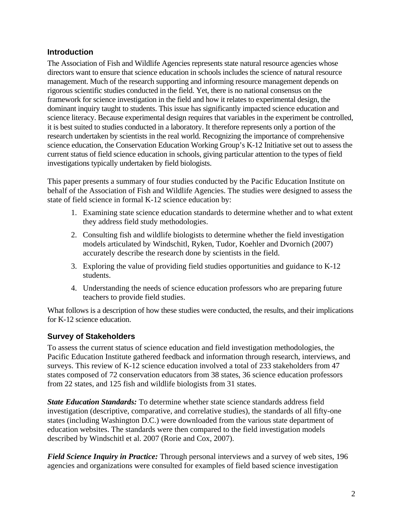#### **Introduction**

The Association of Fish and Wildlife Agencies represents state natural resource agencies whose directors want to ensure that science education in schools includes the science of natural resource management. Much of the research supporting and informing resource management depends on rigorous scientific studies conducted in the field. Yet, there is no national consensus on the framework for science investigation in the field and how it relates to experimental design, the dominant inquiry taught to students. This issue has significantly impacted science education and science literacy. Because experimental design requires that variables in the experiment be controlled, it is best suited to studies conducted in a laboratory. It therefore represents only a portion of the research undertaken by scientists in the real world. Recognizing the importance of comprehensive science education, the Conservation Education Working Group's K-12 Initiative set out to assess the current status of field science education in schools, giving particular attention to the types of field investigations typically undertaken by field biologists.

This paper presents a summary of four studies conducted by the Pacific Education Institute on behalf of the Association of Fish and Wildlife Agencies. The studies were designed to assess the state of field science in formal K-12 science education by:

- 1. Examining state science education standards to determine whether and to what extent they address field study methodologies.
- 2. Consulting fish and wildlife biologists to determine whether the field investigation models articulated by Windschitl, Ryken, Tudor, Koehler and Dvornich (2007) accurately describe the research done by scientists in the field.
- 3. Exploring the value of providing field studies opportunities and guidance to K-12 students.
- 4. Understanding the needs of science education professors who are preparing future teachers to provide field studies.

What follows is a description of how these studies were conducted, the results, and their implications for K-12 science education.

#### **Survey of Stakeholders**

To assess the current status of science education and field investigation methodologies, the Pacific Education Institute gathered feedback and information through research, interviews, and surveys. This review of K-12 science education involved a total of 233 stakeholders from 47 states composed of 72 conservation educators from 38 states, 36 science education professors from 22 states, and 125 fish and wildlife biologists from 31 states.

*State Education Standards:* To determine whether state science standards address field investigation (descriptive, comparative, and correlative studies), the standards of all fifty-one states (including Washington D.C.) were downloaded from the various state department of education websites. The standards were then compared to the field investigation models described by Windschitl et al. 2007 (Rorie and Cox, 2007).

*Field Science Inquiry in Practice:* Through personal interviews and a survey of web sites, 196 agencies and organizations were consulted for examples of field based science investigation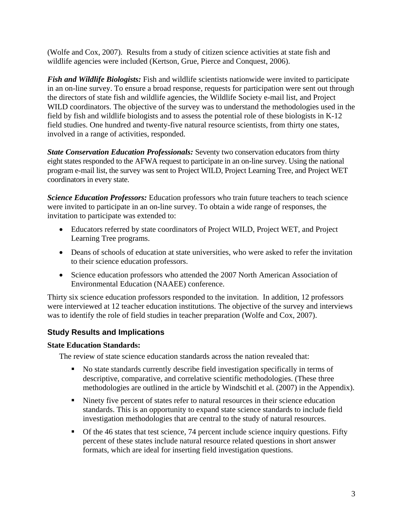(Wolfe and Cox, 2007). Results from a study of citizen science activities at state fish and wildlife agencies were included (Kertson, Grue, Pierce and Conquest, 2006).

*Fish and Wildlife Biologists:* Fish and wildlife scientists nationwide were invited to participate in an on-line survey. To ensure a broad response, requests for participation were sent out through the directors of state fish and wildlife agencies, the Wildlife Society e-mail list, and Project WILD coordinators. The objective of the survey was to understand the methodologies used in the field by fish and wildlife biologists and to assess the potential role of these biologists in K-12 field studies. One hundred and twenty-five natural resource scientists, from thirty one states, involved in a range of activities, responded.

*State Conservation Education Professionals:* Seventy two conservation educators from thirty eight states responded to the AFWA request to participate in an on-line survey. Using the national program e-mail list, the survey was sent to Project WILD, Project Learning Tree, and Project WET coordinators in every state.

*Science Education Professors:* Education professors who train future teachers to teach science were invited to participate in an on-line survey. To obtain a wide range of responses, the invitation to participate was extended to:

- Educators referred by state coordinators of Project WILD, Project WET, and Project Learning Tree programs.
- Deans of schools of education at state universities, who were asked to refer the invitation to their science education professors.
- Science education professors who attended the 2007 North American Association of Environmental Education (NAAEE) conference.

Thirty six science education professors responded to the invitation. In addition, 12 professors were interviewed at 12 teacher education institutions. The objective of the survey and interviews was to identify the role of field studies in teacher preparation (Wolfe and Cox, 2007).

#### **Study Results and Implications**

#### **State Education Standards:**

The review of state science education standards across the nation revealed that:

- No state standards currently describe field investigation specifically in terms of descriptive, comparative, and correlative scientific methodologies. (These three methodologies are outlined in the article by Windschitl et al. (2007) in the Appendix).
- Ninety five percent of states refer to natural resources in their science education standards. This is an opportunity to expand state science standards to include field investigation methodologies that are central to the study of natural resources.
- Of the 46 states that test science, 74 percent include science inquiry questions. Fifty percent of these states include natural resource related questions in short answer formats, which are ideal for inserting field investigation questions.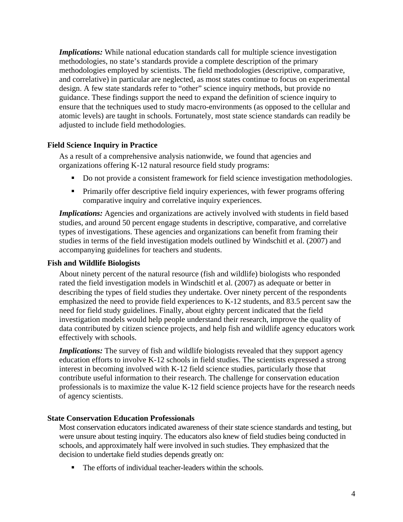*Implications:* While national education standards call for multiple science investigation methodologies, no state's standards provide a complete description of the primary methodologies employed by scientists. The field methodologies (descriptive, comparative, and correlative) in particular are neglected, as most states continue to focus on experimental design. A few state standards refer to "other" science inquiry methods, but provide no guidance. These findings support the need to expand the definition of science inquiry to ensure that the techniques used to study macro-environments (as opposed to the cellular and atomic levels) are taught in schools. Fortunately, most state science standards can readily be adjusted to include field methodologies.

#### **Field Science Inquiry in Practice**

As a result of a comprehensive analysis nationwide, we found that agencies and organizations offering K-12 natural resource field study programs:

- Do not provide a consistent framework for field science investigation methodologies.
- **Primarily offer descriptive field inquiry experiences, with fewer programs offering** comparative inquiry and correlative inquiry experiences.

*Implications:* Agencies and organizations are actively involved with students in field based studies, and around 50 percent engage students in descriptive, comparative, and correlative types of investigations. These agencies and organizations can benefit from framing their studies in terms of the field investigation models outlined by Windschitl et al. (2007) and accompanying guidelines for teachers and students.

#### **Fish and Wildlife Biologists**

About ninety percent of the natural resource (fish and wildlife) biologists who responded rated the field investigation models in Windschitl et al. (2007) as adequate or better in describing the types of field studies they undertake. Over ninety percent of the respondents emphasized the need to provide field experiences to K-12 students, and 83.5 percent saw the need for field study guidelines. Finally, about eighty percent indicated that the field investigation models would help people understand their research, improve the quality of data contributed by citizen science projects, and help fish and wildlife agency educators work effectively with schools.

*Implications:* The survey of fish and wildlife biologists revealed that they support agency education efforts to involve K-12 schools in field studies. The scientists expressed a strong interest in becoming involved with K-12 field science studies, particularly those that contribute useful information to their research. The challenge for conservation education professionals is to maximize the value K-12 field science projects have for the research needs of agency scientists.

#### **State Conservation Education Professionals**

Most conservation educators indicated awareness of their state science standards and testing, but were unsure about testing inquiry. The educators also knew of field studies being conducted in schools, and approximately half were involved in such studies. They emphasized that the decision to undertake field studies depends greatly on:

The efforts of individual teacher-leaders within the schools.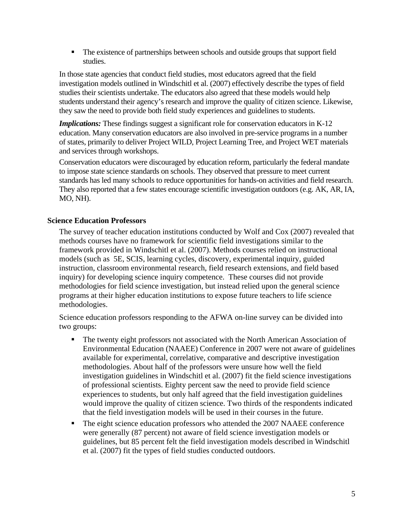The existence of partnerships between schools and outside groups that support field studies.

In those state agencies that conduct field studies, most educators agreed that the field investigation models outlined in Windschitl et al. (2007) effectively describe the types of field studies their scientists undertake. The educators also agreed that these models would help students understand their agency's research and improve the quality of citizen science. Likewise, they saw the need to provide both field study experiences and guidelines to students.

*Implications:* These findings suggest a significant role for conservation educators in K-12 education. Many conservation educators are also involved in pre-service programs in a number of states, primarily to deliver Project WILD, Project Learning Tree, and Project WET materials and services through workshops.

Conservation educators were discouraged by education reform, particularly the federal mandate to impose state science standards on schools. They observed that pressure to meet current standards has led many schools to reduce opportunities for hands-on activities and field research. They also reported that a few states encourage scientific investigation outdoors (e.g. AK, AR, IA, MO, NH).

#### **Science Education Professors**

The survey of teacher education institutions conducted by Wolf and Cox (2007) revealed that methods courses have no framework for scientific field investigations similar to the framework provided in Windschitl et al. (2007). Methods courses relied on instructional models (such as 5E, SCIS, learning cycles, discovery, experimental inquiry, guided instruction, classroom environmental research, field research extensions, and field based inquiry) for developing science inquiry competence. These courses did not provide methodologies for field science investigation, but instead relied upon the general science programs at their higher education institutions to expose future teachers to life science methodologies.

Science education professors responding to the AFWA on-line survey can be divided into two groups:

- The twenty eight professors not associated with the North American Association of Environmental Education (NAAEE) Conference in 2007 were not aware of guidelines available for experimental, correlative, comparative and descriptive investigation methodologies. About half of the professors were unsure how well the field investigation guidelines in Windschitl et al. (2007) fit the field science investigations of professional scientists. Eighty percent saw the need to provide field science experiences to students, but only half agreed that the field investigation guidelines would improve the quality of citizen science. Two thirds of the respondents indicated that the field investigation models will be used in their courses in the future.
- The eight science education professors who attended the 2007 NAAEE conference were generally (87 percent) not aware of field science investigation models or guidelines, but 85 percent felt the field investigation models described in Windschitl et al. (2007) fit the types of field studies conducted outdoors.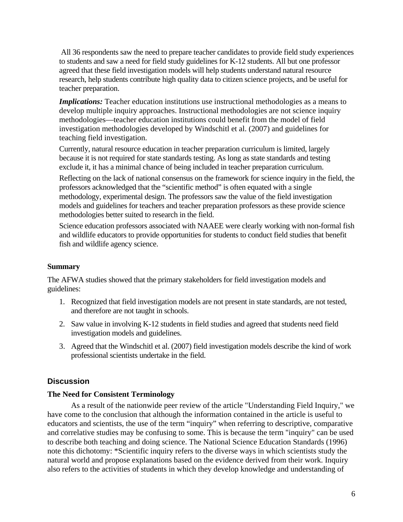All 36 respondents saw the need to prepare teacher candidates to provide field study experiences to students and saw a need for field study guidelines for K-12 students. All but one professor agreed that these field investigation models will help students understand natural resource research, help students contribute high quality data to citizen science projects, and be useful for teacher preparation.

*Implications:* Teacher education institutions use instructional methodologies as a means to develop multiple inquiry approaches. Instructional methodologies are not science inquiry methodologies—teacher education institutions could benefit from the model of field investigation methodologies developed by Windschitl et al. (2007) and guidelines for teaching field investigation.

Currently, natural resource education in teacher preparation curriculum is limited, largely because it is not required for state standards testing. As long as state standards and testing exclude it, it has a minimal chance of being included in teacher preparation curriculum.

Reflecting on the lack of national consensus on the framework for science inquiry in the field, the professors acknowledged that the "scientific method" is often equated with a single methodology, experimental design. The professors saw the value of the field investigation models and guidelines for teachers and teacher preparation professors as these provide science methodologies better suited to research in the field.

Science education professors associated with NAAEE were clearly working with non-formal fish and wildlife educators to provide opportunities for students to conduct field studies that benefit fish and wildlife agency science.

#### **Summary**

The AFWA studies showed that the primary stakeholders for field investigation models and guidelines:

- 1. Recognized that field investigation models are not present in state standards, are not tested, and therefore are not taught in schools.
- 2. Saw value in involving K-12 students in field studies and agreed that students need field investigation models and guidelines.
- 3. Agreed that the Windschitl et al. (2007) field investigation models describe the kind of work professional scientists undertake in the field.

#### **Discussion**

#### **The Need for Consistent Terminology**

As a result of the nationwide peer review of the article "Understanding Field Inquiry," we have come to the conclusion that although the information contained in the article is useful to educators and scientists, the use of the term "inquiry" when referring to descriptive, comparative and correlative studies may be confusing to some. This is because the term "inquiry" can be used to describe both teaching and doing science. The National Science Education Standards (1996) note this dichotomy: \*Scientific inquiry refers to the diverse ways in which scientists study the natural world and propose explanations based on the evidence derived from their work. Inquiry also refers to the activities of students in which they develop knowledge and understanding of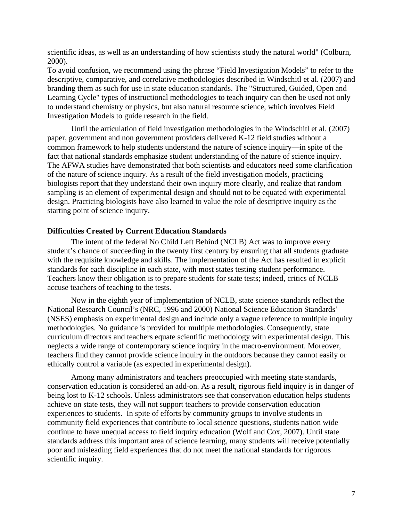scientific ideas, as well as an understanding of how scientists study the natural world" (Colburn, 2000).

To avoid confusion, we recommend using the phrase "Field Investigation Models" to refer to the descriptive, comparative, and correlative methodologies described in Windschitl et al. (2007) and branding them as such for use in state education standards. The "Structured, Guided, Open and Learning Cycle" types of instructional methodologies to teach inquiry can then be used not only to understand chemistry or physics, but also natural resource science, which involves Field Investigation Models to guide research in the field.

Until the articulation of field investigation methodologies in the Windschitl et al. (2007) paper, government and non government providers delivered K-12 field studies without a common framework to help students understand the nature of science inquiry—in spite of the fact that national standards emphasize student understanding of the nature of science inquiry. The AFWA studies have demonstrated that both scientists and educators need some clarification of the nature of science inquiry. As a result of the field investigation models, practicing biologists report that they understand their own inquiry more clearly, and realize that random sampling is an element of experimental design and should not to be equated with experimental design. Practicing biologists have also learned to value the role of descriptive inquiry as the starting point of science inquiry.

#### **Difficulties Created by Current Education Standards**

The intent of the federal No Child Left Behind (NCLB) Act was to improve every student's chance of succeeding in the twenty first century by ensuring that all students graduate with the requisite knowledge and skills. The implementation of the Act has resulted in explicit standards for each discipline in each state, with most states testing student performance. Teachers know their obligation is to prepare students for state tests; indeed, critics of NCLB accuse teachers of teaching to the tests.

Now in the eighth year of implementation of NCLB, state science standards reflect the National Research Council's (NRC, 1996 and 2000) National Science Education Standards' (NSES) emphasis on experimental design and include only a vague reference to multiple inquiry methodologies. No guidance is provided for multiple methodologies. Consequently, state curriculum directors and teachers equate scientific methodology with experimental design. This neglects a wide range of contemporary science inquiry in the macro-environment. Moreover, teachers find they cannot provide science inquiry in the outdoors because they cannot easily or ethically control a variable (as expected in experimental design).

Among many administrators and teachers preoccupied with meeting state standards, conservation education is considered an add-on. As a result, rigorous field inquiry is in danger of being lost to K-12 schools. Unless administrators see that conservation education helps students achieve on state tests, they will not support teachers to provide conservation education experiences to students. In spite of efforts by community groups to involve students in community field experiences that contribute to local science questions, students nation wide continue to have unequal access to field inquiry education (Wolf and Cox, 2007). Until state standards address this important area of science learning, many students will receive potentially poor and misleading field experiences that do not meet the national standards for rigorous scientific inquiry.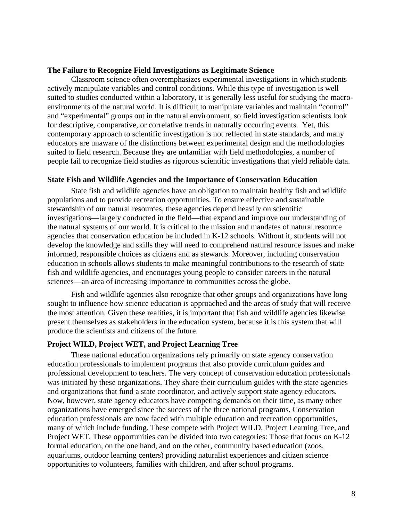#### **The Failure to Recognize Field Investigations as Legitimate Science**

Classroom science often overemphasizes experimental investigations in which students actively manipulate variables and control conditions. While this type of investigation is well suited to studies conducted within a laboratory, it is generally less useful for studying the macroenvironments of the natural world. It is difficult to manipulate variables and maintain "control" and "experimental" groups out in the natural environment, so field investigation scientists look for descriptive, comparative, or correlative trends in naturally occurring events. Yet, this contemporary approach to scientific investigation is not reflected in state standards, and many educators are unaware of the distinctions between experimental design and the methodologies suited to field research. Because they are unfamiliar with field methodologies, a number of people fail to recognize field studies as rigorous scientific investigations that yield reliable data.

#### **State Fish and Wildlife Agencies and the Importance of Conservation Education**

State fish and wildlife agencies have an obligation to maintain healthy fish and wildlife populations and to provide recreation opportunities. To ensure effective and sustainable stewardship of our natural resources, these agencies depend heavily on scientific investigations—largely conducted in the field—that expand and improve our understanding of the natural systems of our world. It is critical to the mission and mandates of natural resource agencies that conservation education be included in K-12 schools. Without it, students will not develop the knowledge and skills they will need to comprehend natural resource issues and make informed, responsible choices as citizens and as stewards. Moreover, including conservation education in schools allows students to make meaningful contributions to the research of state fish and wildlife agencies, and encourages young people to consider careers in the natural sciences—an area of increasing importance to communities across the globe.

 Fish and wildlife agencies also recognize that other groups and organizations have long sought to influence how science education is approached and the areas of study that will receive the most attention. Given these realities, it is important that fish and wildlife agencies likewise present themselves as stakeholders in the education system, because it is this system that will produce the scientists and citizens of the future.

#### **Project WILD, Project WET, and Project Learning Tree**

These national education organizations rely primarily on state agency conservation education professionals to implement programs that also provide curriculum guides and professional development to teachers. The very concept of conservation education professionals was initiated by these organizations. They share their curriculum guides with the state agencies and organizations that fund a state coordinator, and actively support state agency educators. Now, however, state agency educators have competing demands on their time, as many other organizations have emerged since the success of the three national programs. Conservation education professionals are now faced with multiple education and recreation opportunities, many of which include funding. These compete with Project WILD, Project Learning Tree, and Project WET. These opportunities can be divided into two categories: Those that focus on K-12 formal education, on the one hand, and on the other, community based education (zoos, aquariums, outdoor learning centers) providing naturalist experiences and citizen science opportunities to volunteers, families with children, and after school programs.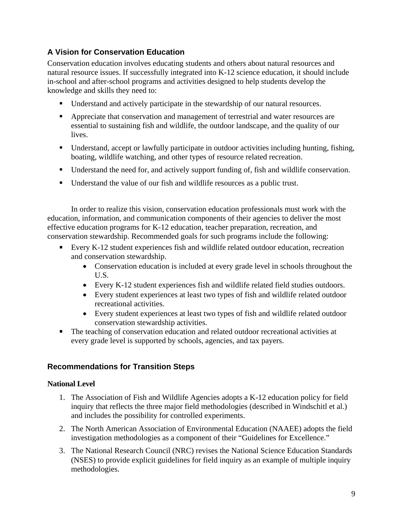#### **A Vision for Conservation Education**

Conservation education involves educating students and others about natural resources and natural resource issues. If successfully integrated into K-12 science education, it should include in-school and after-school programs and activities designed to help students develop the knowledge and skills they need to:

- Understand and actively participate in the stewardship of our natural resources.
- Appreciate that conservation and management of terrestrial and water resources are essential to sustaining fish and wildlife, the outdoor landscape, and the quality of our lives.
- Understand, accept or lawfully participate in outdoor activities including hunting, fishing, boating, wildlife watching, and other types of resource related recreation.
- Understand the need for, and actively support funding of, fish and wildlife conservation.
- Understand the value of our fish and wildlife resources as a public trust.

In order to realize this vision, conservation education professionals must work with the education, information, and communication components of their agencies to deliver the most effective education programs for K-12 education, teacher preparation, recreation, and conservation stewardship. Recommended goals for such programs include the following:

- Every K-12 student experiences fish and wildlife related outdoor education, recreation and conservation stewardship.
	- Conservation education is included at every grade level in schools throughout the U.S.
	- Every K-12 student experiences fish and wildlife related field studies outdoors.
	- Every student experiences at least two types of fish and wildlife related outdoor recreational activities.
	- Every student experiences at least two types of fish and wildlife related outdoor conservation stewardship activities.
- The teaching of conservation education and related outdoor recreational activities at every grade level is supported by schools, agencies, and tax payers.

#### **Recommendations for Transition Steps**

#### **National Level**

- 1. The Association of Fish and Wildlife Agencies adopts a K-12 education policy for field inquiry that reflects the three major field methodologies (described in Windschitl et al.) and includes the possibility for controlled experiments.
- 2. The North American Association of Environmental Education (NAAEE) adopts the field investigation methodologies as a component of their "Guidelines for Excellence."
- 3. The National Research Council (NRC) revises the National Science Education Standards (NSES) to provide explicit guidelines for field inquiry as an example of multiple inquiry methodologies.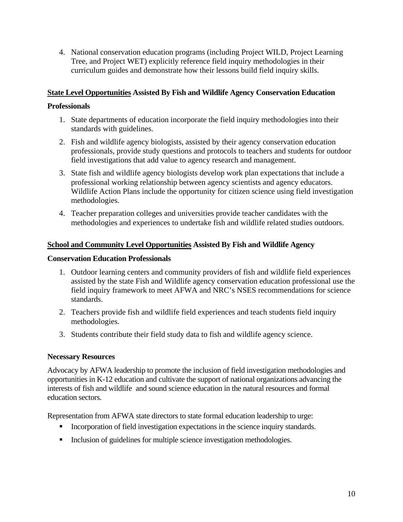4. National conservation education programs (including Project WILD, Project Learning Tree, and Project WET) explicitly reference field inquiry methodologies in their curriculum guides and demonstrate how their lessons build field inquiry skills.

#### **State Level Opportunities Assisted By Fish and Wildlife Agency Conservation Education**

#### **Professionals**

- 1. State departments of education incorporate the field inquiry methodologies into their standards with guidelines.
- 2. Fish and wildlife agency biologists, assisted by their agency conservation education professionals, provide study questions and protocols to teachers and students for outdoor field investigations that add value to agency research and management.
- 3. State fish and wildlife agency biologists develop work plan expectations that include a professional working relationship between agency scientists and agency educators. Wildlife Action Plans include the opportunity for citizen science using field investigation methodologies.
- 4. Teacher preparation colleges and universities provide teacher candidates with the methodologies and experiences to undertake fish and wildlife related studies outdoors.

#### **School and Community Level Opportunities Assisted By Fish and Wildlife Agency**

#### **Conservation Education Professionals**

- 1. Outdoor learning centers and community providers of fish and wildlife field experiences assisted by the state Fish and Wildlife agency conservation education professional use the field inquiry framework to meet AFWA and NRC's NSES recommendations for science standards.
- 2. Teachers provide fish and wildlife field experiences and teach students field inquiry methodologies.
- 3. Students contribute their field study data to fish and wildlife agency science.

#### **Necessary Resources**

Advocacy by AFWA leadership to promote the inclusion of field investigation methodologies and opportunities in K-12 education and cultivate the support of national organizations advancing the interests of fish and wildlife and sound science education in the natural resources and formal education sectors.

Representation from AFWA state directors to state formal education leadership to urge:

- Incorporation of field investigation expectations in the science inquiry standards.
- Inclusion of guidelines for multiple science investigation methodologies.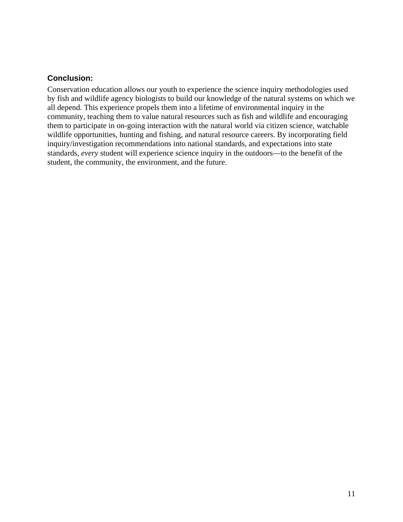#### **Conclusion:**

Conservation education allows our youth to experience the science inquiry methodologies used by fish and wildlife agency biologists to build our knowledge of the natural systems on which we all depend. This experience propels them into a lifetime of environmental inquiry in the community, teaching them to value natural resources such as fish and wildlife and encouraging them to participate in on-going interaction with the natural world via citizen science, watchable wildlife opportunities, hunting and fishing, and natural resource careers. By incorporating field inquiry/investigation recommendations into national standards, and expectations into state standards, *every* student will experience science inquiry in the outdoors—to the benefit of the student, the community, the environment, and the future.